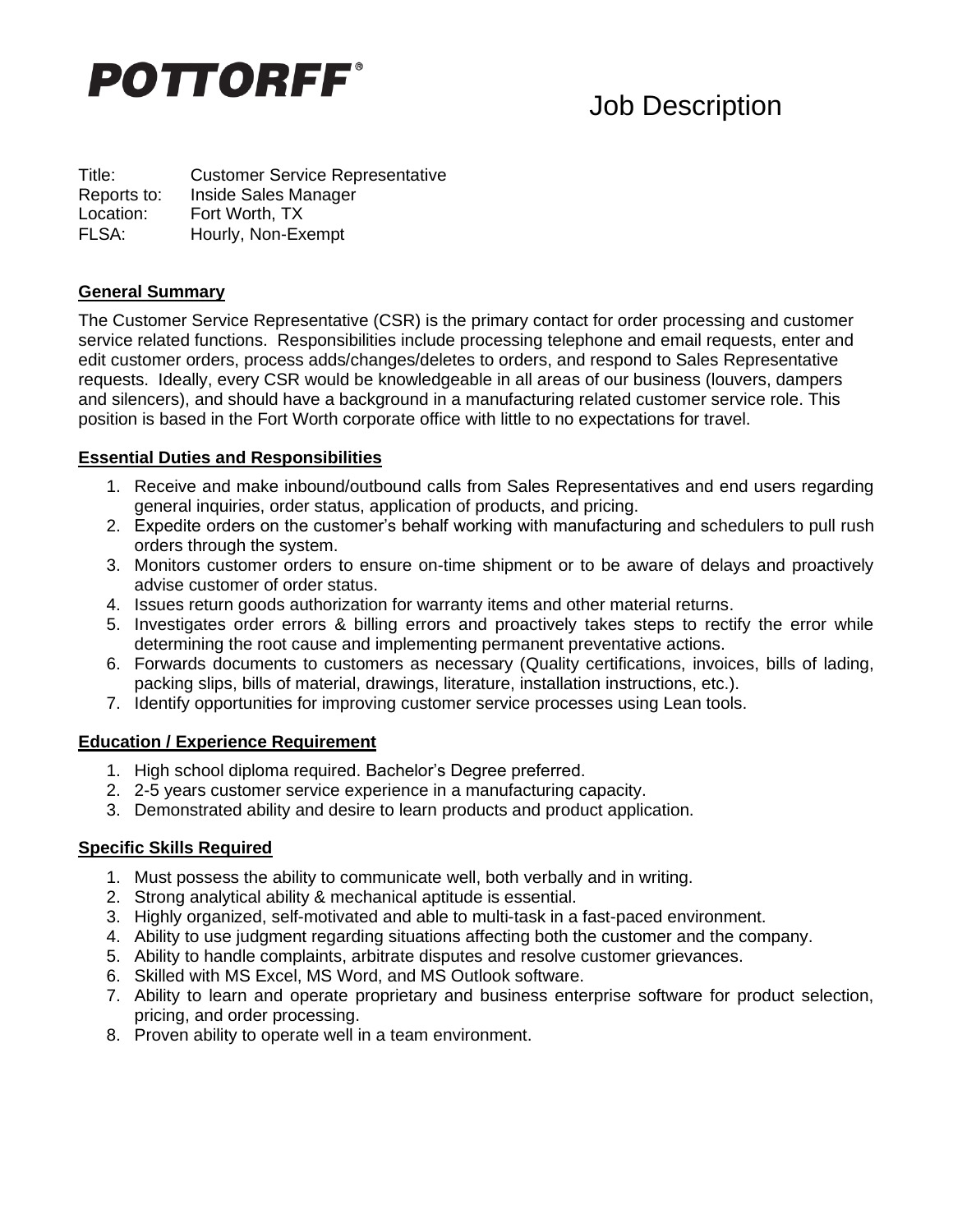

# Job Description

Title: Customer Service Representative Reports to: Inside Sales Manager Location: Fort Worth, TX FLSA: Hourly, Non-Exempt

#### **General Summary**

The Customer Service Representative (CSR) is the primary contact for order processing and customer service related functions. Responsibilities include processing telephone and email requests, enter and edit customer orders, process adds/changes/deletes to orders, and respond to Sales Representative requests. Ideally, every CSR would be knowledgeable in all areas of our business (louvers, dampers and silencers), and should have a background in a manufacturing related customer service role. This position is based in the Fort Worth corporate office with little to no expectations for travel.

#### **Essential Duties and Responsibilities**

- 1. Receive and make inbound/outbound calls from Sales Representatives and end users regarding general inquiries, order status, application of products, and pricing.
- 2. Expedite orders on the customer's behalf working with manufacturing and schedulers to pull rush orders through the system.
- 3. Monitors customer orders to ensure on-time shipment or to be aware of delays and proactively advise customer of order status.
- 4. Issues return goods authorization for warranty items and other material returns.
- 5. Investigates order errors & billing errors and proactively takes steps to rectify the error while determining the root cause and implementing permanent preventative actions.
- 6. Forwards documents to customers as necessary (Quality certifications, invoices, bills of lading, packing slips, bills of material, drawings, literature, installation instructions, etc.).
- 7. Identify opportunities for improving customer service processes using Lean tools.

#### **Education / Experience Requirement**

- 1. High school diploma required. Bachelor's Degree preferred.
- 2. 2-5 years customer service experience in a manufacturing capacity.
- 3. Demonstrated ability and desire to learn products and product application.

#### **Specific Skills Required**

- 1. Must possess the ability to communicate well, both verbally and in writing.
- 2. Strong analytical ability & mechanical aptitude is essential.
- 3. Highly organized, self-motivated and able to multi-task in a fast-paced environment.
- 4. Ability to use judgment regarding situations affecting both the customer and the company.
- 5. Ability to handle complaints, arbitrate disputes and resolve customer grievances.
- 6. Skilled with MS Excel, MS Word, and MS Outlook software.
- 7. Ability to learn and operate proprietary and business enterprise software for product selection, pricing, and order processing.
- 8. Proven ability to operate well in a team environment.